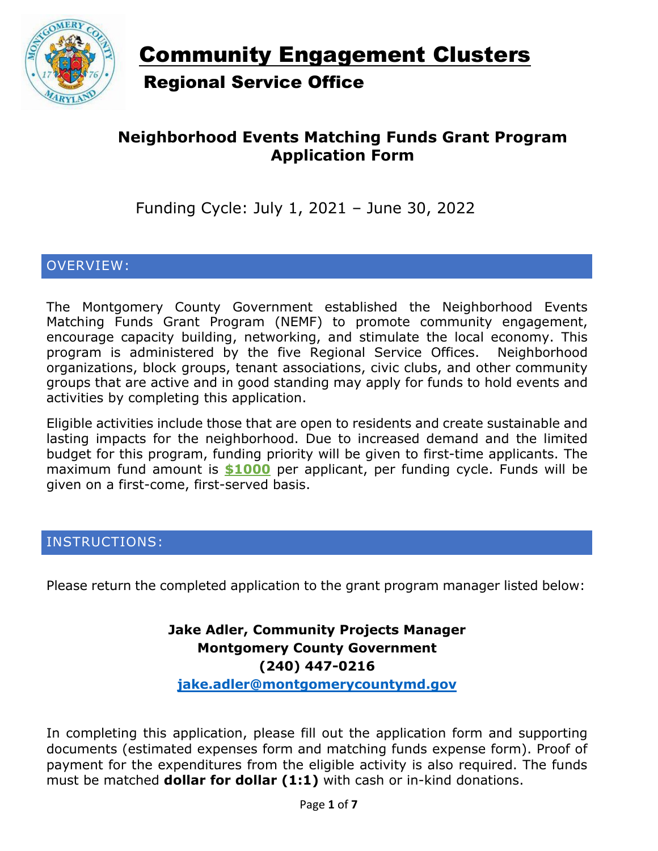

# Community Engagement Clusters Regional Service Office

# **Neighborhood Events Matching Funds Grant Program Application Form**

Funding Cycle: July 1, 2021 – June 30, 2022

### OVERVIEW:

The Montgomery County Government established the Neighborhood Events Matching Funds Grant Program (NEMF) to promote community engagement, encourage capacity building, networking, and stimulate the local economy. This program is administered by the five Regional Service Offices. Neighborhood organizations, block groups, tenant associations, civic clubs, and other community groups that are active and in good standing may apply for funds to hold events and activities by completing this application.

Eligible activities include those that are open to residents and create sustainable and lasting impacts for the neighborhood. Due to increased demand and the limited budget for this program, funding priority will be given to first-time applicants. The maximum fund amount is **\$1000** per applicant, per funding cycle. Funds will be given on a first-come, first-served basis.

#### INSTRUCTIONS:

Please return the completed application to the grant program manager listed below:

# **Jake Adler, Community Projects Manager Montgomery County Government (240) 447-0216**

**jake.adler[@montgomerycountymd.gov](mailto:jake.adler@montgomerycountymd.gov)**

In completing this application, please fill out the application form and supporting documents (estimated expenses form and matching funds expense form). Proof of payment for the expenditures from the eligible activity is also required. The funds must be matched **dollar for dollar (1:1)** with cash or in-kind donations.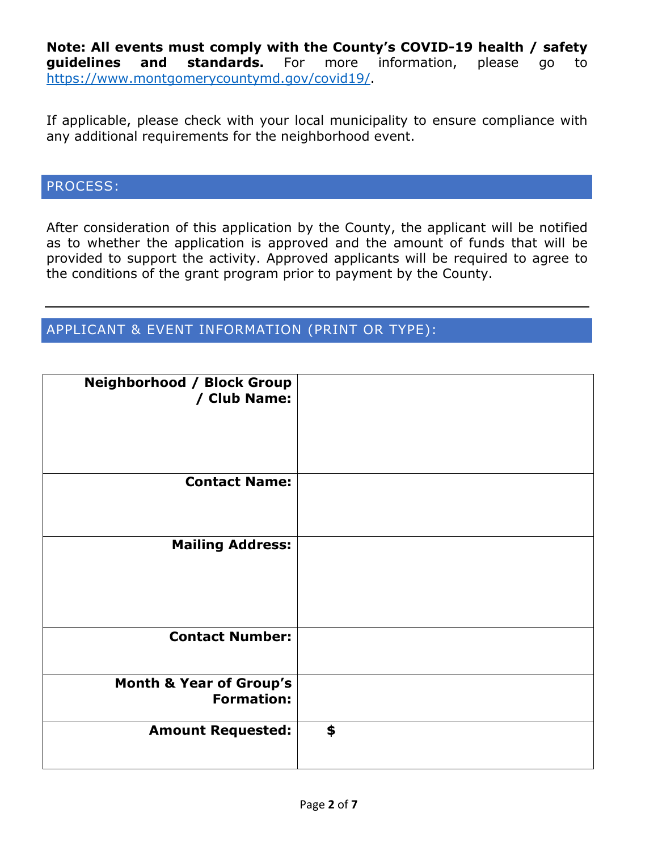**Note: All events must comply with the County's COVID-19 health / safety guidelines and standards.** For more information, please go to [https://www.montgomerycountymd.gov/covid19/.](https://www.montgomerycountymd.gov/covid19/)

If applicable, please check with your local municipality to ensure compliance with any additional requirements for the neighborhood event.

### PROCESS:

After consideration of this application by the County, the applicant will be notified as to whether the application is approved and the amount of funds that will be provided to support the activity. Approved applicants will be required to agree to the conditions of the grant program prior to payment by the County.

### APPLICANT & EVENT INFORMATION (PRINT OR TYPE):

| <b>Neighborhood / Block Group</b><br>/ Club Name:       |    |
|---------------------------------------------------------|----|
| <b>Contact Name:</b>                                    |    |
| <b>Mailing Address:</b>                                 |    |
| <b>Contact Number:</b>                                  |    |
| <b>Month &amp; Year of Group's</b><br><b>Formation:</b> |    |
| <b>Amount Requested:</b>                                | \$ |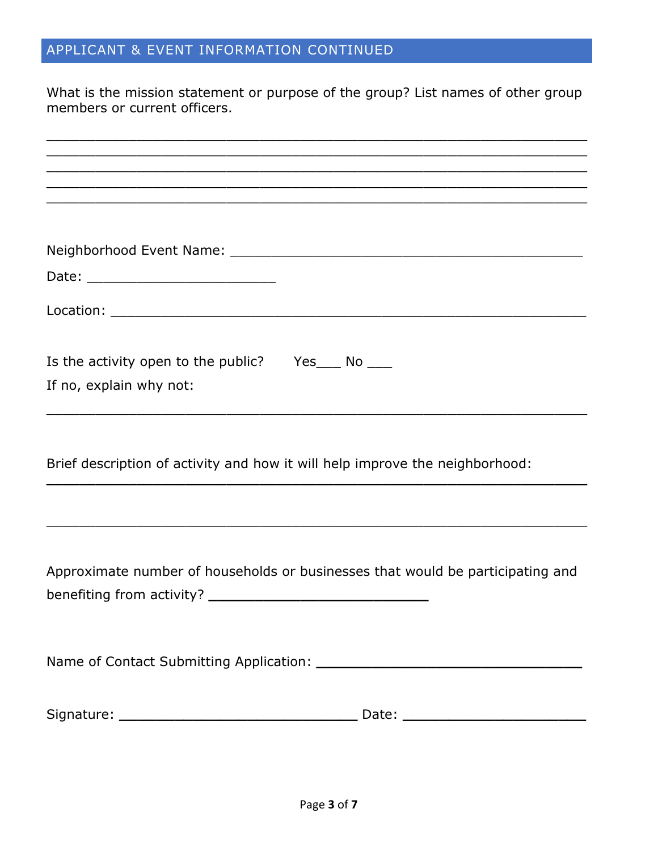# APPLICANT & EVENT INFORMATION CONTINUED

What is the mission statement or purpose of the group? List names of other group members or current officers.

| <u> 1989 - Johann John Harry Harry Harry Harry Harry Harry Harry Harry Harry Harry Harry Harry Harry Harry Harry</u> |  |  |  |  |
|----------------------------------------------------------------------------------------------------------------------|--|--|--|--|
|                                                                                                                      |  |  |  |  |
|                                                                                                                      |  |  |  |  |
| Date: _______________________________                                                                                |  |  |  |  |
|                                                                                                                      |  |  |  |  |
|                                                                                                                      |  |  |  |  |
|                                                                                                                      |  |  |  |  |
|                                                                                                                      |  |  |  |  |
| Is the activity open to the public? Yes____ No ____                                                                  |  |  |  |  |
| If no, explain why not:                                                                                              |  |  |  |  |
|                                                                                                                      |  |  |  |  |
|                                                                                                                      |  |  |  |  |
|                                                                                                                      |  |  |  |  |
| Brief description of activity and how it will help improve the neighborhood:                                         |  |  |  |  |
|                                                                                                                      |  |  |  |  |
|                                                                                                                      |  |  |  |  |
|                                                                                                                      |  |  |  |  |
|                                                                                                                      |  |  |  |  |
| Approximate number of households or businesses that would be participating and                                       |  |  |  |  |
|                                                                                                                      |  |  |  |  |
|                                                                                                                      |  |  |  |  |
|                                                                                                                      |  |  |  |  |
|                                                                                                                      |  |  |  |  |
|                                                                                                                      |  |  |  |  |
|                                                                                                                      |  |  |  |  |
|                                                                                                                      |  |  |  |  |
|                                                                                                                      |  |  |  |  |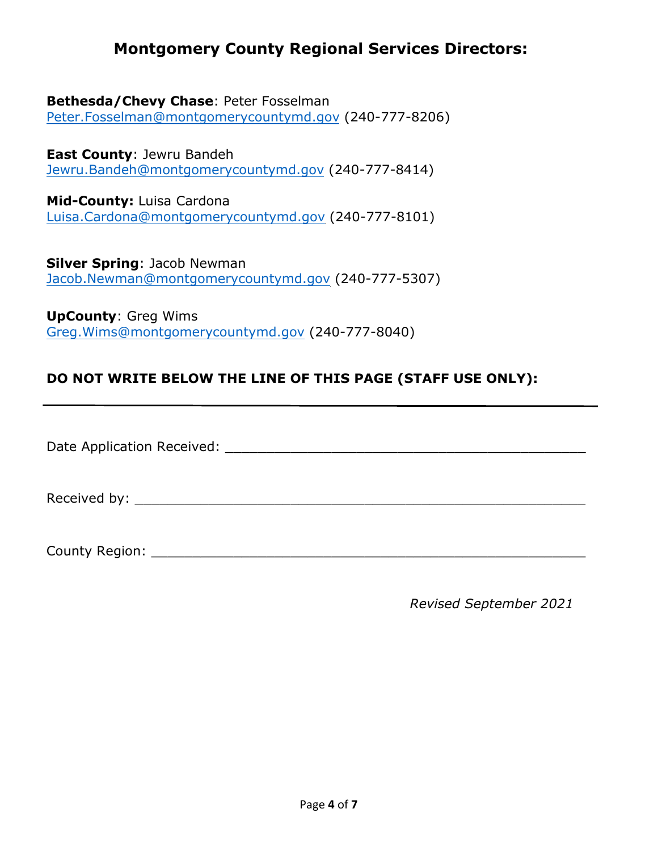### **Montgomery County Regional Services Directors:**

**Bethesda/Chevy Chase**: Peter Fosselman Peter.Fosselman[@montgomerycountymd.gov](mailto:Peter.Fosselman@montgomerycountymd.gov) (240-777-8206)

**East County**: Jewru Bandeh [Jewru.Bandeh@montgomerycountymd.gov](mailto:Jewru.Bandeh@montgomerycountymd.gov) (240-777-8414)

**Mid-County:** Luisa Cardona Luisa.Cardona[@montgomerycountymd.gov](mailto:luisa.cardona@montgomerycountymd.gov) (240-777-8101)

**Silver Spring**: Jacob Newman Jacob.Newman[@montgomerycountymd.gov](mailto:jacob.newman@montgomerycountymd.gov) (240-777-5307)

**UpCounty**: Greg Wims Greg.Wims[@montgomerycountymd.gov](mailto:Greg.Wims@montgomerycountymd.gov) (240-777-8040)

### **DO NOT WRITE BELOW THE LINE OF THIS PAGE (STAFF USE ONLY):**

Date Application Received: \_\_\_\_\_\_\_\_\_\_\_\_\_\_\_\_\_\_\_\_\_\_\_\_\_\_\_\_\_\_\_\_\_\_\_\_\_\_\_\_\_\_\_\_

Received by: \_\_\_\_\_\_\_\_\_\_\_\_\_\_\_\_\_\_\_\_\_\_\_\_\_\_\_\_\_\_\_\_\_\_\_\_\_\_\_\_\_\_\_\_\_\_\_\_\_\_\_\_\_\_\_

County Region: **Example 20** and 20 and 20 and 20 and 20 and 20 and 20 and 20 and 20 and 20 and 20 and 20 and 20 and 20 and 20 and 20 and 20 and 20 and 20 and 20 and 20 and 20 and 20 and 20 and 20 and 20 and 20 and 20 and 2

*Revised September 2021*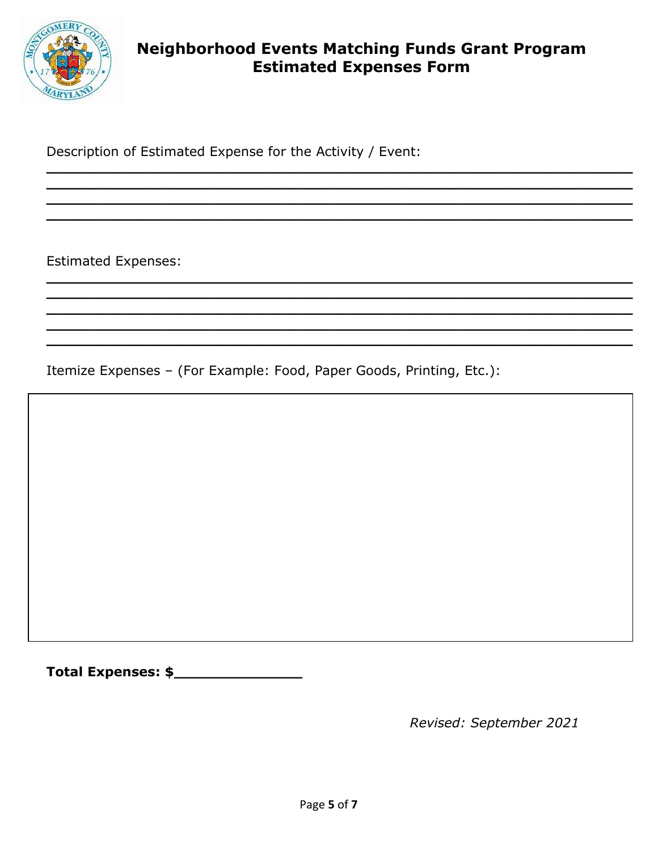

# **Neighborhood Events Matching Funds Grant Program Estimated Expenses Form**

Description of Estimated Expense for the Activity / Event:

**Estimated Expenses:** 

Itemize Expenses - (For Example: Food, Paper Goods, Printing, Etc.):

Revised: September 2021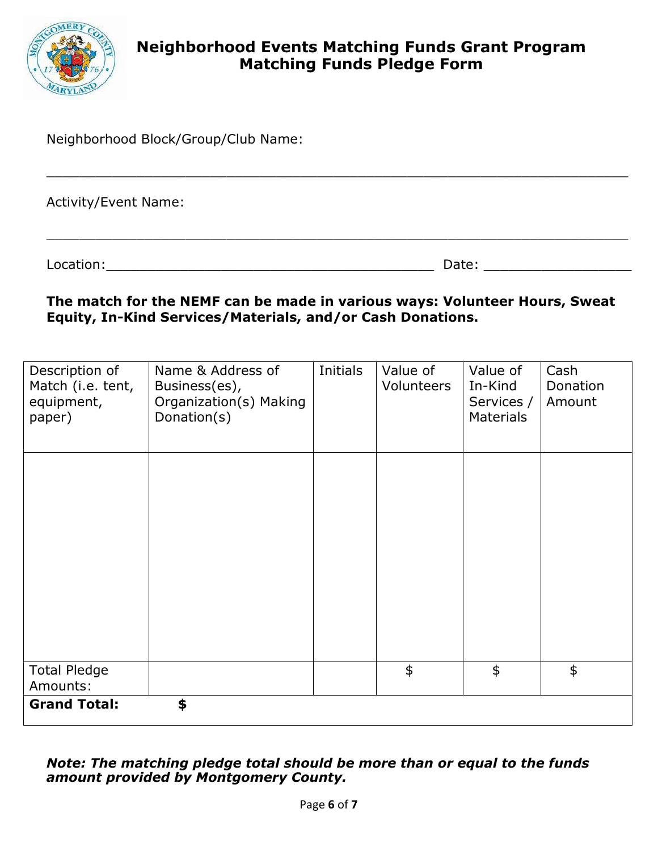

Neighborhood Block/Group/Club Name:

Activity/Event Name:

Location:\_\_\_\_\_\_\_\_\_\_\_\_\_\_\_\_\_\_\_\_\_\_\_\_\_\_\_\_\_\_\_\_\_\_\_\_\_\_\_\_ Date: \_\_\_\_\_\_\_\_\_\_\_\_\_\_\_\_\_\_

#### **The match for the NEMF can be made in various ways: Volunteer Hours, Sweat Equity, In-Kind Services/Materials, and/or Cash Donations.**

\_\_\_\_\_\_\_\_\_\_\_\_\_\_\_\_\_\_\_\_\_\_\_\_\_\_\_\_\_\_\_\_\_\_\_\_\_\_\_\_\_\_\_\_\_\_\_\_\_\_\_\_\_\_\_\_\_\_\_\_\_\_\_\_\_\_\_\_\_\_\_

 $\_$  , and the set of the set of the set of the set of the set of the set of the set of the set of the set of the set of the set of the set of the set of the set of the set of the set of the set of the set of the set of th

| Description of<br>Match (i.e. tent,<br>equipment,<br>paper) | Name & Address of<br>Business(es),<br>Organization(s) Making<br>Donation(s) | Initials | Value of<br>Volunteers | Value of<br>In-Kind<br>Services /<br><b>Materials</b> | Cash<br>Donation<br>Amount |  |
|-------------------------------------------------------------|-----------------------------------------------------------------------------|----------|------------------------|-------------------------------------------------------|----------------------------|--|
|                                                             |                                                                             |          |                        |                                                       |                            |  |
|                                                             |                                                                             |          |                        |                                                       |                            |  |
|                                                             |                                                                             |          |                        |                                                       |                            |  |
| <b>Total Pledge</b><br>Amounts:                             |                                                                             |          | \$                     | $\frac{4}{5}$                                         | \$                         |  |
| \$<br><b>Grand Total:</b>                                   |                                                                             |          |                        |                                                       |                            |  |

#### *Note: The matching pledge total should be more than or equal to the funds amount provided by Montgomery County.*